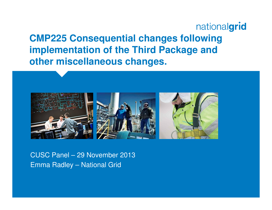nationalgrid **CMP225 Consequential changes following implementation of the Third Package and other miscellaneous changes.**



CUSC Panel – 29 November 2013Emma Radley – National Grid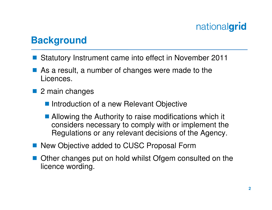#### **Background**

- $\mathbb{R}^3$ Statutory Instrument came into effect in November 2011
- $\mathbb{R}^n$  As a result, a number of changes were made to the Licences.
- 2 main changes
	- Introduction of a new Relevant Objective
	- Allowing the Authority to raise modifications which it considers necessary to comply with or implement theRegulations or any relevant decisions of the Agency.
- New Objective added to CUSC Proposal Form
- Other changes put on hold whilst Ofgem consulted on the licence wording licence wording.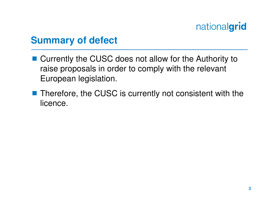#### **Summary of defect**

- Currently the CUSC does not allow for the Authority to<br>raise proposals in order to comply with the relevant raise proposals in order to comply with the relevant European legislation.
- Therefore, the CUSC is currently not consistent with the licence licence.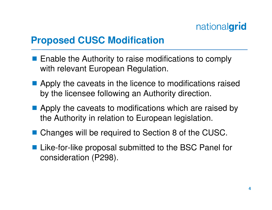### **Proposed CUSC Modification**

- **Enable the Authority to raise modifications to comply**<br>with relevant European Bequlation with relevant European Regulation.
- Apply the caveats in the licence to modifications raised<br>hy the license following an Authority direction by the licensee following an Authority direction.
- Apply the caveats to modifications which are raised by<br>the Authority in relation to European logislation the Authority in relation to European legislation.
- Changes will be required to Section 8 of the CUSC.
- Like-for-like proposal submitted to the BSC Panel for<br>consideration (P298) consideration (P298).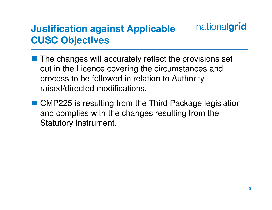#### nationalgrid **Justification against Applicable CUSC Objectives**

- The changes will accurately reflect the provisions set out in the Licence covering the circumstances and process to be followed in relation to Authority raised/directed modifications.
- CMP225 is resulting from the Third Package legislation and complies with the changes resulting from the Statutory Instrument.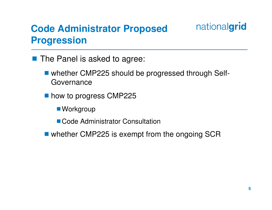## **Code Administrator Proposed Progression**



- The Panel is asked to agree:
	- whether CMP225 should be progressed through Self-Governance
	- how to progress CMP225
		- Workgroup
		- Code Administrator Consultation
	- whether CMP225 is exempt from the ongoing SCR